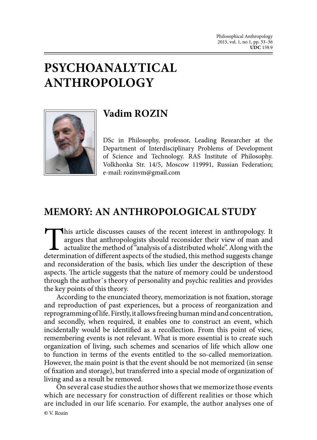## **PSYCHOANALYTICAL ANTHROPOLOGY**



## **Vadim ROZIN**

DSc in Philosophy, professor, Leading Researcher at the Department of Interdisciplinary Problems of Development of Science and Technology. RAS Institute of Philosophy. Volkhonka Str. 14/5, Moscow 119991, Russian Federation; e-mail: rozinvm@gmail.com

## **MEMORY: AN ANTHROPOLOGICAL STUDY**

This article discusses causes of the recent interest in anthropology. It argues that anthropologists should reconsider their view of man and actualize the method of "analysis of a distributed whole". Along with the determi argues that anthropologists should reconsider their view of man and actualize the method of "analysis of a distributed whole". Along with the determination of different aspects of the studied, this method suggests change and reconsideration of the basis, which lies under the description of these aspects. The article suggests that the nature of memory could be understood through the author`s theory of personality and psychic realities and provides the key points of this theory.

According to the enunciated theory, memorization is not fixation, storage and reproduction of past experiences, but a process of reorganization and reprogramming of life. Firstly, it allows freeing human mind and concentration, and secondly, when required, it enables one to construct an event, which incidentally would be identified as a recollection. From this point of view, remembering events is not relevant. What is more essential is to create such organization of living, such schemes and scenarios of life which allow one to function in terms of the events entitled to the so-called memorization. However, the main point is that the event should be not memorized (in sense of fixation and storage), but transferred into a special mode of organization of living and as a result be removed.

On several case studies the author shows that we memorize those events which are necessary for construction of different realities or those which are included in our life scenario. For example, the author analyses one of **©** V. Rozin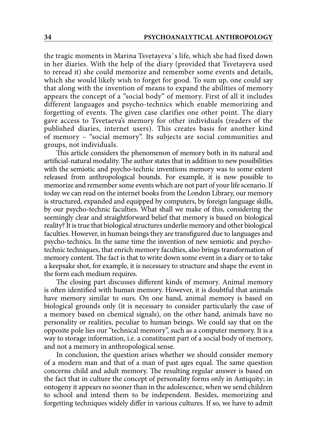the tragic moments in Marina Tsvetayeva`s life, which she had fixed down in her diaries. With the help of the diary (provided that Tsvetayeva used to reread it) she could memorize and remember some events and details, which she would likely wish to forget for good. To sum up, one could say that along with the invention of means to expand the abilities of memory appears the concept of a "social body" of memory. First of all it includes different languages and psycho-technics which enable memorizing and forgetting of events. The given case clarifies one other point. The diary gave access to Tsvetaeva's memory for other individuals (readers of the published diaries, internet users). This creates basis for another kind of memory – "social memory". Its subjects are social communities and groups, not individuals.

This article considers the phenomenon of memory both in its natural and artificial-natural modality. The author states that in addition to new possibilities with the semiotic and psycho-technic inventions memory was to some extent released from anthropological bounds. For example, it is now possible to memorize and remember some events which are not part of your life scenario. If today we can read on the internet books from the London Library, our memory is structured, expanded and equipped by computers, by foreign language skills, by our psycho-technic faculties. What shall we make of this, considering the seemingly clear and straightforward belief that memory is based on biological reality? It is true that biological structures underlie memory and other biological faculties. However, in human beings they are transfigured due to languages and psycho-technics. In the same time the invention of new semiotic and psychotechnic techniques, that enrich memory faculties, also brings transformation of memory content. The fact is that to write down some event in a diary or to take a keepsake shot, for example, it is necessary to structure and shape the event in the form each medium requires.

The closing part discusses different kinds of memory. Animal memory is often identified with human memory. However, it is doubtful that animals have memory similar to ours. On one hand, animal memory is based on biological grounds only (it is necessary to consider particularly the case of a memory based on chemical signals), on the other hand, animals have no personality or realities, peculiar to human beings. We could say that on the opposite pole lies our "technical memory", such as a computer memory. It is a way to storage information, i.e. a constituent part of a social body of memory, and not a memory in anthropological sense.

In conclusion, the question arises whether we should consider memory of a modern man and that of a man of past ages equal. The same question concerns child and adult memory. The resulting regular answer is based on the fact that in culture the concept of personality forms only in Antiquity; in ontogeny it appears no sooner than in the adolescence, when we send children to school and intend them to be independent. Besides, memorizing and forgetting techniques widely differ in various cultures. If so, we have to admit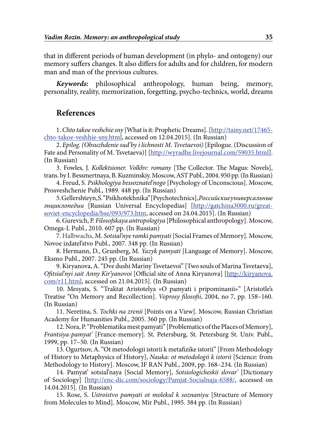that in different periods of human development (in phylo- and ontogeny) our memory suffers changes. It also differs for adults and for children, for modern man and man of the previous cultures.

*Keywords:* philosophical anthropology, human being, memory, personality, reality, memorization, forgetting, psycho-technics, world, dreams

## **References**

1. *Chto takoe veshchie sny* [What is it: Prophetic Dreams]. [\[http://tainy.net/17465](http://backdoorbroadcasting.net/2011/12/francois-laruelle-pourqoi-une-ethique-a-lusage-des-philosophes) [chto-takoe-veshhie-sny.html](http://backdoorbroadcasting.net/2011/12/francois-laruelle-pourqoi-une-ethique-a-lusage-des-philosophes), accessed on 12.04.2015]. (In Russian)

2. *Epilog. (Obsuzhdenie sud'by i lichnosti M. Tsvetaevoi)* [Epilogue. (Discussion of Fate and Personality of M. Tsvetaeva)] [[http://wyradhe.livejournal.com/59035.html](http://backdoorbroadcasting.net/2011/12/francois-laruelle-pourqoi-une-ethique-a-lusage-des-philosophes)]. (In Russian)

3. Fowles, J. *Kollektsioner. Volkhv: romany* [The Collector. The Magus: Novels], trans. by I. Bessmertnaya, B. Kuzminskiy. Moscow, AST Publ., 2004. 950 pp. (In Russian)

4. Freud, S. *Psikhologiya bessoznatel'nogo* [Psychology of Unconscious]. Moscow, Prosveshchenie Publ., 1989. 448 pp. (In Russian)

5. Gellershteyn, S. "Psikhotekhnika" [Psychotechnics], *Российскиеуниверсальные энциклопедии* [Russian Universal Encyclopedias] [http://gatchina3000.ru/greatsoviet-encyclopedia/bse/093/973.htm, accessed on 24.04.2015]. (In Russian)

6. Gurevich, P. *Filosofskaya antropologiya* [Philosophical anthropology]. Moscow, Omega-L Publ., 2010. 607 pp. (In Russian)

7. Halbwachs, М. *Sotsial'nye ramki pamyati* [Social Frames of Memory]. Moscow, Novoe izdatel'stvo Publ., 2007. 348 pp. (In Russian)

8. Hermann, D., Grunberg, М. *Yazyk pamyati* [Language of Memory]. Moscow, Eksmo Publ., 2007. 245 pp. (In Russian)

9. Kiryanova, А. "Dve dushi Mariny Tsvetaevoi" [Two souls of Marina Tsvetaeva], *Ofitsial'nyi sait Anny Kir'yanovoi* [Official site of Anna Kiryanova] [http://kiryanova.  $\frac{\text{com}}{\text{r11.html}}$ , accessed on 21.04.2015]. (In Russian)

10. Mesyats, S. "Traktat Aristotelya «O pamyati i pripominanii»" [Aristotle's Treatise "On Memory and Recollection]. *Voprosy filosofii*, 2004, no 7, pp. 158–160. (In Russian)

11. Neretina, S. *Tochki na zrenii* [Points on a View]. Moscow, Russian Christian Academy for Humanities Publ., 2005. 360 pp. (In Russian)

12. Nora, P. "Problematika mest pamyati" [Problematics of the Places of Memory], *Frantsiya-pamyat'* [France-memory]. St. Petersburg, St. Petersburg St. Univ. Publ., 1999, pp. 17–50. (In Russian)

13. Ogurtsov, A. "Ot metodologii istorii k metafizike istorii" [From Methodology of History to Metaphysics of History], *Nauka: ot metodologii k istorii* [Science: from Methodology to History]. Moscow, IF RAN Publ., 2009, pp. 168–234. (In Russian)

14. Pamyat' sotsial'naya [Social Memory], *Sotsiologicheskii slovar'* [Dictionary of Sociology] [http://enc-dic.com/sociology/Pamjat-Socialnaja-6588/, accessed on 14.04.2015]. (In Russian)

15. Rose, S. *Ustroistvo pamyati ot molekul k soznaniyu* [Structure of Memory from Molecules to Mind]. Moscow, Mir Publ., 1995. 384 pp. (In Russian)